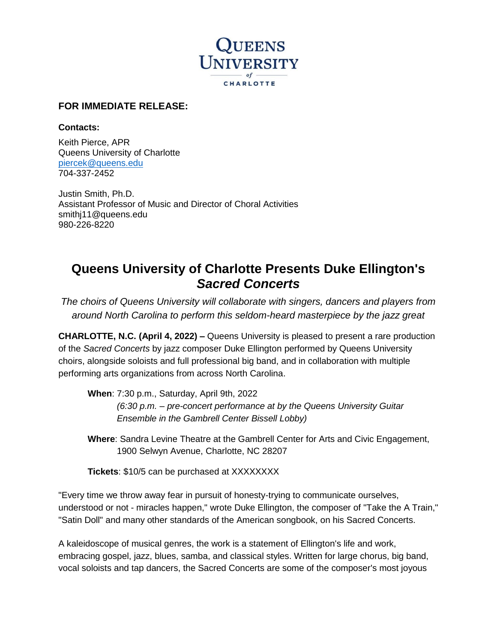

## **FOR IMMEDIATE RELEASE:**

## **Contacts:**

Keith Pierce, APR Queens University of Charlotte [piercek@queens.edu](mailto:piercek@queens.edu) 704-337-2452

Justin Smith, Ph.D. Assistant Professor of Music and Director of Choral Activities smithj11@queens.edu 980-226-8220

## **Queens University of Charlotte Presents Duke Ellington's**  *Sacred Concerts*

*The choirs of Queens University will collaborate with singers, dancers and players from around North Carolina to perform this seldom-heard masterpiece by the jazz great*

**CHARLOTTE, N.C. (April 4, 2022) –** Queens University is pleased to present a rare production of the *Sacred Concerts* by jazz composer Duke Ellington performed by Queens University choirs, alongside soloists and full professional big band, and in collaboration with multiple performing arts organizations from across North Carolina.

**When**: 7:30 p.m., Saturday, April 9th, 2022 *(6:30 p.m. – pre-concert performance at by the Queens University Guitar Ensemble in the Gambrell Center Bissell Lobby)*

**Where**: Sandra Levine Theatre at the Gambrell Center for Arts and Civic Engagement, 1900 Selwyn Avenue, Charlotte, NC 28207

**Tickets**: \$10/5 can be purchased at XXXXXXXX

"Every time we throw away fear in pursuit of honesty-trying to communicate ourselves, understood or not - miracles happen," wrote Duke Ellington, the composer of "Take the A Train," "Satin Doll" and many other standards of the American songbook, on his Sacred Concerts.

A kaleidoscope of musical genres, the work is a statement of Ellington's life and work, embracing gospel, jazz, blues, samba, and classical styles. Written for large chorus, big band, vocal soloists and tap dancers, the Sacred Concerts are some of the composer's most joyous